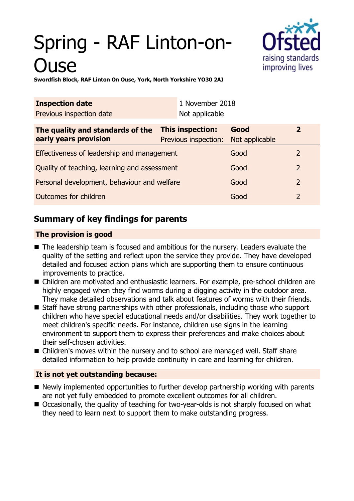# Spring - RAF Linton-on-**Juse**



**Swordfish Block, RAF Linton On Ouse, York, North Yorkshire YO30 2AJ**

| <b>Inspection date</b>                                    |                                          | 1 November 2018 |                        |                |
|-----------------------------------------------------------|------------------------------------------|-----------------|------------------------|----------------|
| Previous inspection date                                  |                                          | Not applicable  |                        |                |
| The quality and standards of the<br>early years provision | This inspection:<br>Previous inspection: |                 | Good<br>Not applicable | $\mathbf 2$    |
| Effectiveness of leadership and management                |                                          |                 | Good                   | 2              |
| Quality of teaching, learning and assessment              |                                          |                 | Good                   | $\overline{2}$ |
| Personal development, behaviour and welfare               |                                          |                 | Good                   | $\overline{2}$ |
| Outcomes for children                                     |                                          |                 | Good                   | 2              |

# **Summary of key findings for parents**

## **The provision is good**

- The leadership team is focused and ambitious for the nursery. Leaders evaluate the quality of the setting and reflect upon the service they provide. They have developed detailed and focused action plans which are supporting them to ensure continuous improvements to practice.
- Children are motivated and enthusiastic learners. For example, pre-school children are highly engaged when they find worms during a digging activity in the outdoor area. They make detailed observations and talk about features of worms with their friends.
- $\blacksquare$  Staff have strong partnerships with other professionals, including those who support children who have special educational needs and/or disabilities. They work together to meet children's specific needs. For instance, children use signs in the learning environment to support them to express their preferences and make choices about their self-chosen activities.
- $\blacksquare$  Children's moves within the nursery and to school are managed well. Staff share detailed information to help provide continuity in care and learning for children.

## **It is not yet outstanding because:**

- $\blacksquare$  Newly implemented opportunities to further develop partnership working with parents are not yet fully embedded to promote excellent outcomes for all children.
- Occasionally, the quality of teaching for two-year-olds is not sharply focused on what they need to learn next to support them to make outstanding progress.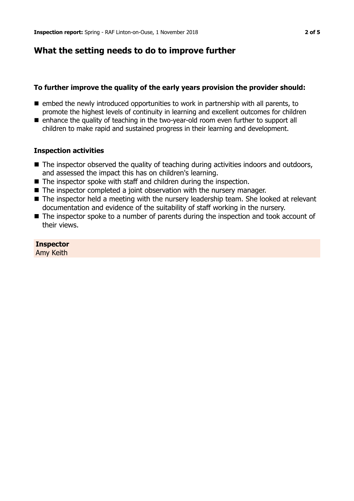## **What the setting needs to do to improve further**

## **To further improve the quality of the early years provision the provider should:**

- $\blacksquare$  embed the newly introduced opportunities to work in partnership with all parents, to promote the highest levels of continuity in learning and excellent outcomes for children
- $\blacksquare$  enhance the quality of teaching in the two-year-old room even further to support all children to make rapid and sustained progress in their learning and development.

## **Inspection activities**

- $\blacksquare$  The inspector observed the quality of teaching during activities indoors and outdoors, and assessed the impact this has on children's learning.
- $\blacksquare$  The inspector spoke with staff and children during the inspection.
- $\blacksquare$  The inspector completed a joint observation with the nursery manager.
- The inspector held a meeting with the nursery leadership team. She looked at relevant documentation and evidence of the suitability of staff working in the nursery.
- $\blacksquare$  The inspector spoke to a number of parents during the inspection and took account of their views.

**Inspector** Amy Keith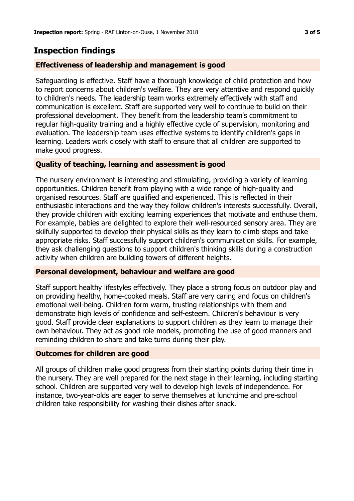# **Inspection findings**

## **Effectiveness of leadership and management is good**

Safeguarding is effective. Staff have a thorough knowledge of child protection and how to report concerns about children's welfare. They are very attentive and respond quickly to children's needs. The leadership team works extremely effectively with staff and communication is excellent. Staff are supported very well to continue to build on their professional development. They benefit from the leadership team's commitment to regular high-quality training and a highly effective cycle of supervision, monitoring and evaluation. The leadership team uses effective systems to identify children's gaps in learning. Leaders work closely with staff to ensure that all children are supported to make good progress.

## **Quality of teaching, learning and assessment is good**

The nursery environment is interesting and stimulating, providing a variety of learning opportunities. Children benefit from playing with a wide range of high-quality and organised resources. Staff are qualified and experienced. This is reflected in their enthusiastic interactions and the way they follow children's interests successfully. Overall, they provide children with exciting learning experiences that motivate and enthuse them. For example, babies are delighted to explore their well-resourced sensory area. They are skilfully supported to develop their physical skills as they learn to climb steps and take appropriate risks. Staff successfully support children's communication skills. For example, they ask challenging questions to support children's thinking skills during a construction activity when children are building towers of different heights.

## **Personal development, behaviour and welfare are good**

Staff support healthy lifestyles effectively. They place a strong focus on outdoor play and on providing healthy, home-cooked meals. Staff are very caring and focus on children's emotional well-being. Children form warm, trusting relationships with them and demonstrate high levels of confidence and self-esteem. Children's behaviour is very good. Staff provide clear explanations to support children as they learn to manage their own behaviour. They act as good role models, promoting the use of good manners and reminding children to share and take turns during their play.

## **Outcomes for children are good**

All groups of children make good progress from their starting points during their time in the nursery. They are well prepared for the next stage in their learning, including starting school. Children are supported very well to develop high levels of independence. For instance, two-year-olds are eager to serve themselves at lunchtime and pre-school children take responsibility for washing their dishes after snack.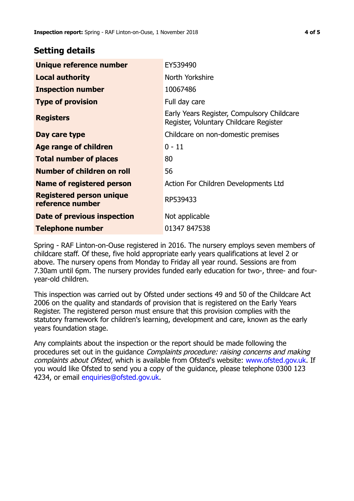## **Setting details**

| Unique reference number                             | EY539490                                                                             |  |
|-----------------------------------------------------|--------------------------------------------------------------------------------------|--|
| <b>Local authority</b>                              | North Yorkshire                                                                      |  |
| <b>Inspection number</b>                            | 10067486                                                                             |  |
| <b>Type of provision</b>                            | Full day care                                                                        |  |
| <b>Registers</b>                                    | Early Years Register, Compulsory Childcare<br>Register, Voluntary Childcare Register |  |
| Day care type                                       | Childcare on non-domestic premises                                                   |  |
| Age range of children                               | $0 - 11$                                                                             |  |
| <b>Total number of places</b>                       | 80                                                                                   |  |
| Number of children on roll                          | 56                                                                                   |  |
| Name of registered person                           | Action For Children Developments Ltd                                                 |  |
| <b>Registered person unique</b><br>reference number | RP539433                                                                             |  |
| Date of previous inspection                         | Not applicable                                                                       |  |
| <b>Telephone number</b>                             | 01347 847538                                                                         |  |

Spring - RAF Linton-on-Ouse registered in 2016. The nursery employs seven members of childcare staff. Of these, five hold appropriate early years qualifications at level 2 or above. The nursery opens from Monday to Friday all year round. Sessions are from 7.30am until 6pm. The nursery provides funded early education for two-, three- and fouryear-old children.

This inspection was carried out by Ofsted under sections 49 and 50 of the Childcare Act 2006 on the quality and standards of provision that is registered on the Early Years Register. The registered person must ensure that this provision complies with the statutory framework for children's learning, development and care, known as the early years foundation stage.

Any complaints about the inspection or the report should be made following the procedures set out in the guidance Complaints procedure: raising concerns and making complaints about Ofsted, which is available from Ofsted's website: www.ofsted.gov.uk. If you would like Ofsted to send you a copy of the guidance, please telephone 0300 123 4234, or email [enquiries@ofsted.gov.uk.](mailto:enquiries@ofsted.gov.uk)